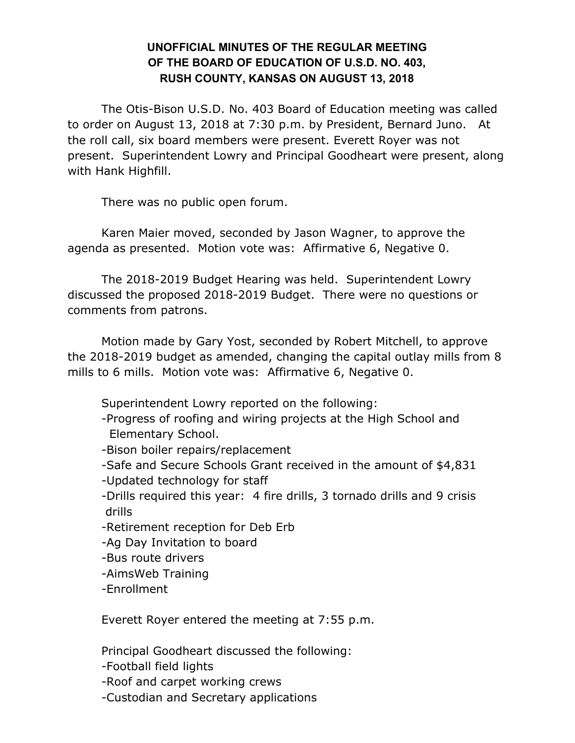## **UNOFFICIAL MINUTES OF THE REGULAR MEETING OF THE BOARD OF EDUCATION OF U.S.D. NO. 403, RUSH COUNTY, KANSAS ON AUGUST 13, 2018**

The Otis-Bison U.S.D. No. 403 Board of Education meeting was called to order on August 13, 2018 at 7:30 p.m. by President, Bernard Juno. At the roll call, six board members were present. Everett Royer was not present. Superintendent Lowry and Principal Goodheart were present, along with Hank Highfill.

There was no public open forum.

Karen Maier moved, seconded by Jason Wagner, to approve the agenda as presented. Motion vote was: Affirmative 6, Negative 0.

The 2018-2019 Budget Hearing was held. Superintendent Lowry discussed the proposed 2018-2019 Budget. There were no questions or comments from patrons.

Motion made by Gary Yost, seconded by Robert Mitchell, to approve the 2018-2019 budget as amended, changing the capital outlay mills from 8 mills to 6 mills. Motion vote was: Affirmative 6, Negative 0.

Superintendent Lowry reported on the following:

- -Progress of roofing and wiring projects at the High School and Elementary School.
- -Bison boiler repairs/replacement
- -Safe and Secure Schools Grant received in the amount of \$4,831
- -Updated technology for staff
- -Drills required this year: 4 fire drills, 3 tornado drills and 9 crisis drills
- -Retirement reception for Deb Erb
- -Ag Day Invitation to board
- -Bus route drivers
- -AimsWeb Training
- -Enrollment

Everett Royer entered the meeting at 7:55 p.m.

Principal Goodheart discussed the following:

- -Football field lights
- -Roof and carpet working crews
- -Custodian and Secretary applications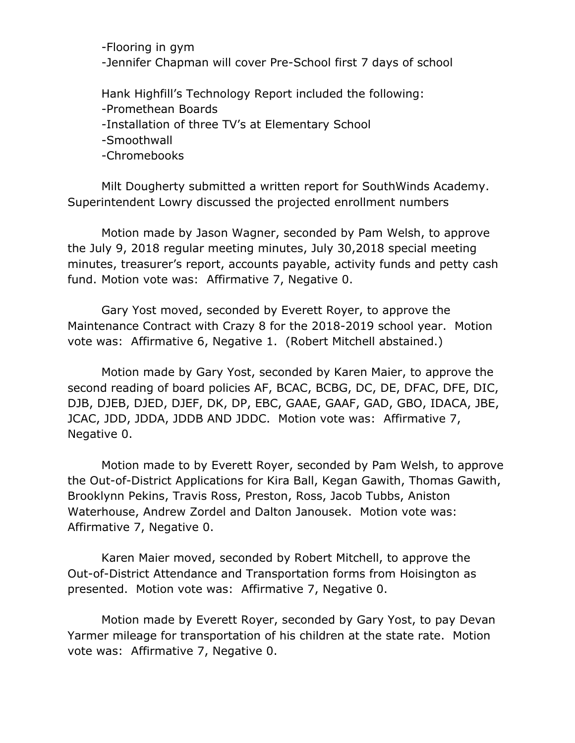-Flooring in gym -Jennifer Chapman will cover Pre-School first 7 days of school

Hank Highfill's Technology Report included the following: -Promethean Boards -Installation of three TV's at Elementary School -Smoothwall -Chromebooks

Milt Dougherty submitted a written report for SouthWinds Academy. Superintendent Lowry discussed the projected enrollment numbers

Motion made by Jason Wagner, seconded by Pam Welsh, to approve the July 9, 2018 regular meeting minutes, July 30,2018 special meeting minutes, treasurer's report, accounts payable, activity funds and petty cash fund. Motion vote was: Affirmative 7, Negative 0.

Gary Yost moved, seconded by Everett Royer, to approve the Maintenance Contract with Crazy 8 for the 2018-2019 school year. Motion vote was: Affirmative 6, Negative 1. (Robert Mitchell abstained.)

Motion made by Gary Yost, seconded by Karen Maier, to approve the second reading of board policies AF, BCAC, BCBG, DC, DE, DFAC, DFE, DIC, DJB, DJEB, DJED, DJEF, DK, DP, EBC, GAAE, GAAF, GAD, GBO, IDACA, JBE, JCAC, JDD, JDDA, JDDB AND JDDC. Motion vote was: Affirmative 7, Negative 0.

Motion made to by Everett Royer, seconded by Pam Welsh, to approve the Out-of-District Applications for Kira Ball, Kegan Gawith, Thomas Gawith, Brooklynn Pekins, Travis Ross, Preston, Ross, Jacob Tubbs, Aniston Waterhouse, Andrew Zordel and Dalton Janousek. Motion vote was: Affirmative 7, Negative 0.

Karen Maier moved, seconded by Robert Mitchell, to approve the Out-of-District Attendance and Transportation forms from Hoisington as presented. Motion vote was: Affirmative 7, Negative 0.

Motion made by Everett Royer, seconded by Gary Yost, to pay Devan Yarmer mileage for transportation of his children at the state rate. Motion vote was: Affirmative 7, Negative 0.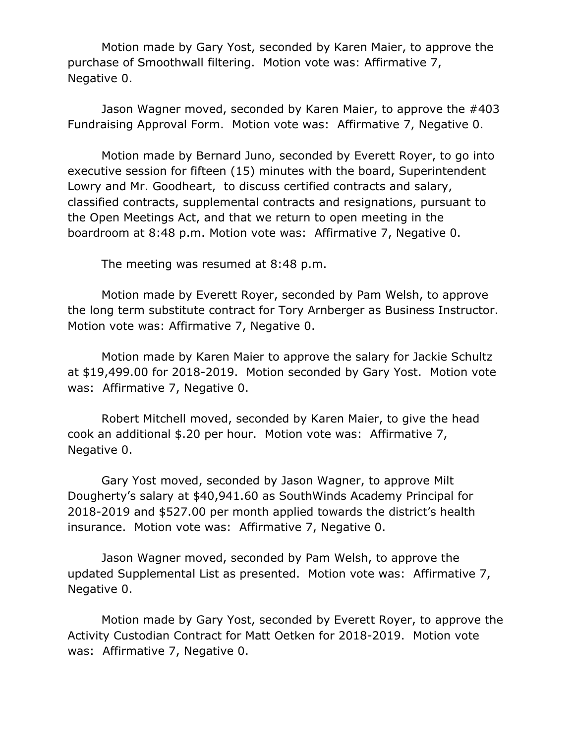Motion made by Gary Yost, seconded by Karen Maier, to approve the purchase of Smoothwall filtering. Motion vote was: Affirmative 7, Negative 0.

Jason Wagner moved, seconded by Karen Maier, to approve the #403 Fundraising Approval Form. Motion vote was: Affirmative 7, Negative 0.

Motion made by Bernard Juno, seconded by Everett Royer, to go into executive session for fifteen (15) minutes with the board, Superintendent Lowry and Mr. Goodheart, to discuss certified contracts and salary, classified contracts, supplemental contracts and resignations, pursuant to the Open Meetings Act, and that we return to open meeting in the boardroom at 8:48 p.m. Motion vote was: Affirmative 7, Negative 0.

The meeting was resumed at 8:48 p.m.

Motion made by Everett Royer, seconded by Pam Welsh, to approve the long term substitute contract for Tory Arnberger as Business Instructor. Motion vote was: Affirmative 7, Negative 0.

Motion made by Karen Maier to approve the salary for Jackie Schultz at \$19,499.00 for 2018-2019. Motion seconded by Gary Yost. Motion vote was: Affirmative 7, Negative 0.

Robert Mitchell moved, seconded by Karen Maier, to give the head cook an additional \$.20 per hour. Motion vote was: Affirmative 7, Negative 0.

Gary Yost moved, seconded by Jason Wagner, to approve Milt Dougherty's salary at \$40,941.60 as SouthWinds Academy Principal for 2018-2019 and \$527.00 per month applied towards the district's health insurance. Motion vote was: Affirmative 7, Negative 0.

Jason Wagner moved, seconded by Pam Welsh, to approve the updated Supplemental List as presented. Motion vote was: Affirmative 7, Negative 0.

Motion made by Gary Yost, seconded by Everett Royer, to approve the Activity Custodian Contract for Matt Oetken for 2018-2019. Motion vote was: Affirmative 7, Negative 0.